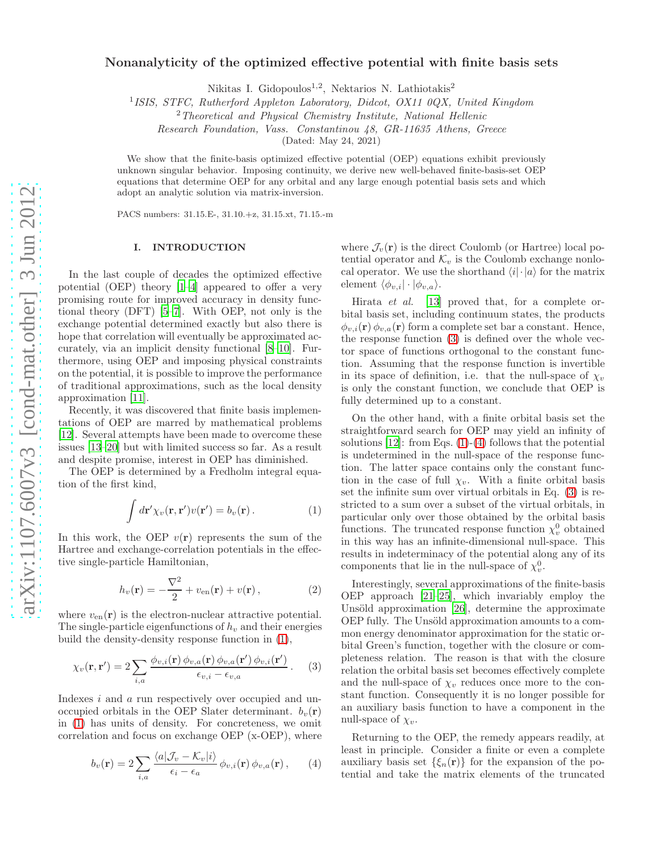# Nonanalyticity of the optimized effective potential with finite basis sets

Nikitas I. Gidopoulos<sup>1,2</sup>, Nektarios N. Lathiotakis<sup>2</sup>

<sup>1</sup> ISIS, STFC, Rutherford Appleton Laboratory, Didcot, OX11 0QX, United Kingdom

<sup>2</sup>Theoretical and Physical Chemistry Institute, National Hellenic

Research Foundation, Vass. Constantinou 48, GR-11635 Athens, Greece

(Dated: May 24, 2021)

We show that the finite-basis optimized effective potential (OEP) equations exhibit previously unknown singular behavior. Imposing continuity, we derive new well-behaved finite-basis-set OEP equations that determine OEP for any orbital and any large enough potential basis sets and which adopt an analytic solution via matrix-inversion.

PACS numbers: 31.15.E-, 31.10.+z, 31.15.xt, 71.15.-m

## I. INTRODUCTION

In the last couple of decades the optimized effective potential (OEP) theory [\[1](#page-7-0)[–4\]](#page-7-1) appeared to offer a very promising route for improved accuracy in density functional theory (DFT) [\[5](#page-7-2)[–7](#page-7-3)]. With OEP, not only is the exchange potential determined exactly but also there is hope that correlation will eventually be approximated accurately, via an implicit density functional [\[8](#page-7-4)[–10\]](#page-7-5). Furthermore, using OEP and imposing physical constraints on the potential, it is possible to improve the performance of traditional approximations, such as the local density approximation [\[11](#page-7-6)].

Recently, it was discovered that finite basis implementations of OEP are marred by mathematical problems [\[12\]](#page-7-7). Several attempts have been made to overcome these issues [\[13](#page-7-8)[–20](#page-7-9)] but with limited success so far. As a result and despite promise, interest in OEP has diminished.

The OEP is determined by a Fredholm integral equation of the first kind,

<span id="page-0-0"></span>
$$
\int d\mathbf{r}' \chi_v(\mathbf{r}, \mathbf{r}') v(\mathbf{r}') = b_v(\mathbf{r}) . \tag{1}
$$

In this work, the OEP  $v(\mathbf{r})$  represents the sum of the Hartree and exchange-correlation potentials in the effective single-particle Hamiltonian,

<span id="page-0-3"></span>
$$
h_v(\mathbf{r}) = -\frac{\nabla^2}{2} + v_{\text{en}}(\mathbf{r}) + v(\mathbf{r}), \qquad (2)
$$

where  $v_{en}(\mathbf{r})$  is the electron-nuclear attractive potential. The single-particle eigenfunctions of  $h<sub>v</sub>$  and their energies build the density-density response function in [\(1\)](#page-0-0),

<span id="page-0-1"></span>
$$
\chi_v(\mathbf{r}, \mathbf{r}') = 2 \sum_{i,a} \frac{\phi_{v,i}(\mathbf{r}) \phi_{v,a}(\mathbf{r}) \phi_{v,a}(\mathbf{r}') \phi_{v,i}(\mathbf{r}')}{\epsilon_{v,i} - \epsilon_{v,a}}.
$$
 (3)

Indexes i and a run respectively over occupied and unoccupied orbitals in the OEP Slater determinant.  $b_v(\mathbf{r})$ in [\(1\)](#page-0-0) has units of density. For concreteness, we omit correlation and focus on exchange OEP (x-OEP), where

<span id="page-0-2"></span>
$$
b_v(\mathbf{r}) = 2 \sum_{i,a} \frac{\langle a | \mathcal{J}_v - \mathcal{K}_v | i \rangle}{\epsilon_i - \epsilon_a} \phi_{v,i}(\mathbf{r}) \phi_{v,a}(\mathbf{r}), \qquad (4)
$$

where  $\mathcal{J}_v(\mathbf{r})$  is the direct Coulomb (or Hartree) local potential operator and  $\mathcal{K}_v$  is the Coulomb exchange nonlocal operator. We use the shorthand  $\langle i|\cdot|a\rangle$  for the matrix element  $\langle \phi_{v,i}| \cdot | \phi_{v,a} \rangle$ .

Hirata et al. [\[13](#page-7-8)] proved that, for a complete orbital basis set, including continuum states, the products  $\phi_{v,i}(\mathbf{r}) \phi_{v,a}(\mathbf{r})$  form a complete set bar a constant. Hence, the response function [\(3\)](#page-0-1) is defined over the whole vector space of functions orthogonal to the constant function. Assuming that the response function is invertible in its space of definition, i.e. that the null-space of  $\chi_v$ is only the constant function, we conclude that OEP is fully determined up to a constant.

On the other hand, with a finite orbital basis set the straightforward search for OEP may yield an infinity of solutions  $[12]$ : from Eqs.  $(1)-(4)$  $(1)-(4)$  follows that the potential is undetermined in the null-space of the response function. The latter space contains only the constant function in the case of full  $\chi_v$ . With a finite orbital basis set the infinite sum over virtual orbitals in Eq. [\(3\)](#page-0-1) is restricted to a sum over a subset of the virtual orbitals, in particular only over those obtained by the orbital basis functions. The truncated response function  $\chi_v^0$  obtained in this way has an infinite-dimensional null-space. This results in indeterminacy of the potential along any of its components that lie in the null-space of  $\chi_v^0$ .

Interestingly, several approximations of the finite-basis OEP approach [\[21](#page-7-10)[–25](#page-7-11)], which invariably employ the Unsöld approximation  $[26]$ , determine the approximate OEP fully. The Unsöld approximation amounts to a common energy denominator approximation for the static orbital Green's function, together with the closure or completeness relation. The reason is that with the closure relation the orbital basis set becomes effectively complete and the null-space of  $\chi_v$  reduces once more to the constant function. Consequently it is no longer possible for an auxiliary basis function to have a component in the null-space of  $\chi_v$ .

Returning to the OEP, the remedy appears readily, at least in principle. Consider a finite or even a complete auxiliary basis set  $\{\xi_n(\mathbf{r})\}$  for the expansion of the potential and take the matrix elements of the truncated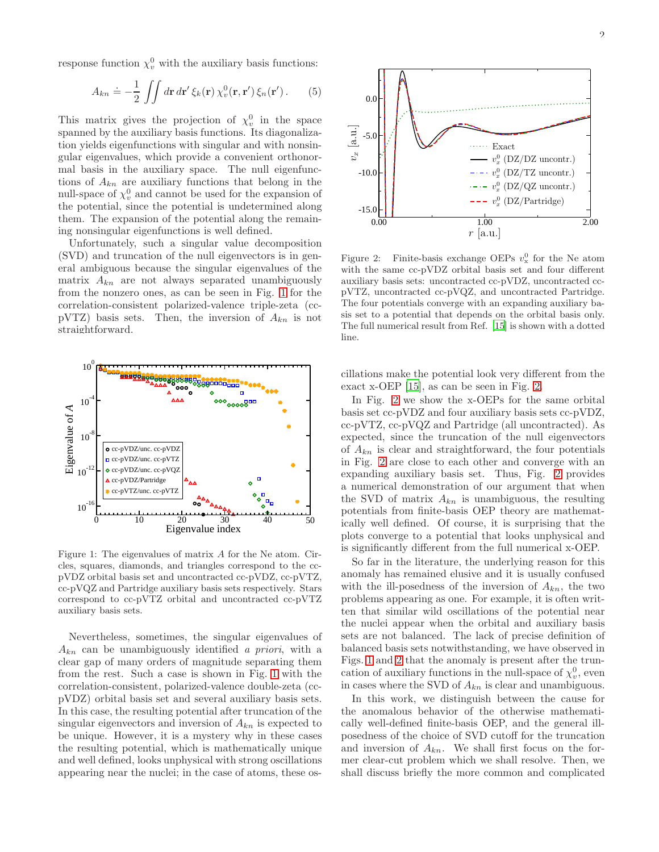response function  $\chi_v^0$  with the auxiliary basis functions:

<span id="page-1-2"></span>
$$
A_{kn} \doteq -\frac{1}{2} \iint d\mathbf{r} \, d\mathbf{r}' \, \xi_k(\mathbf{r}) \, \chi_v^0(\mathbf{r}, \mathbf{r}') \, \xi_n(\mathbf{r}'). \tag{5}
$$

This matrix gives the projection of  $\chi_v^0$  in the space spanned by the auxiliary basis functions. Its diagonalization yields eigenfunctions with singular and with nonsingular eigenvalues, which provide a convenient orthonormal basis in the auxiliary space. The null eigenfunctions of  $A_{kn}$  are auxiliary functions that belong in the null-space of  $\chi_v^0$  and cannot be used for the expansion of the potential, since the potential is undetermined along them. The expansion of the potential along the remaining nonsingular eigenfunctions is well defined.

Unfortunately, such a singular value decomposition (SVD) and truncation of the null eigenvectors is in general ambiguous because the singular eigenvalues of the matrix  $A_{kn}$  are not always separated unambiguously from the nonzero ones, as can be seen in Fig. [1](#page-1-0) for the correlation-consistent polarized-valence triple-zeta (ccpVTZ) basis sets. Then, the inversion of  $A_{kn}$  is not straightforward.



<span id="page-1-0"></span>Figure 1: The eigenvalues of matrix A for the Ne atom. Circles, squares, diamonds, and triangles correspond to the ccpVDZ orbital basis set and uncontracted cc-pVDZ, cc-pVTZ, cc-pVQZ and Partridge auxiliary basis sets respectively. Stars correspond to cc-pVTZ orbital and uncontracted cc-pVTZ auxiliary basis sets.

Nevertheless, sometimes, the singular eigenvalues of  $A_{kn}$  can be unambiguously identified a priori, with a clear gap of many orders of magnitude separating them from the rest. Such a case is shown in Fig. [1](#page-1-0) with the correlation-consistent, polarized-valence double-zeta (ccpVDZ) orbital basis set and several auxiliary basis sets. In this case, the resulting potential after truncation of the singular eigenvectors and inversion of  $A_{kn}$  is expected to be unique. However, it is a mystery why in these cases the resulting potential, which is mathematically unique and well defined, looks unphysical with strong oscillations appearing near the nuclei; in the case of atoms, these os-



<span id="page-1-1"></span>Figure 2: Finite-basis exchange OEPs  $v_x^0$  for the Ne atom with the same cc-pVDZ orbital basis set and four different auxiliary basis sets: uncontracted cc-pVDZ, uncontracted ccpVTZ, uncontracted cc-pVQZ, and uncontracted Partridge. The four potentials converge with an expanding auxiliary basis set to a potential that depends on the orbital basis only. The full numerical result from Ref. [\[15](#page-7-13)] is shown with a dotted line.

cillations make the potential look very different from the exact x-OEP [\[15](#page-7-13)], as can be seen in Fig. [2.](#page-1-1)

In Fig. [2](#page-1-1) we show the x-OEPs for the same orbital basis set cc-pVDZ and four auxiliary basis sets cc-pVDZ, cc-pVTZ, cc-pVQZ and Partridge (all uncontracted). As expected, since the truncation of the null eigenvectors of  $A_{kn}$  is clear and straightforward, the four potentials in Fig. [2](#page-1-1) are close to each other and converge with an expanding auxiliary basis set. Thus, Fig. [2](#page-1-1) provides a numerical demonstration of our argument that when the SVD of matrix  $A_{kn}$  is unambiguous, the resulting potentials from finite-basis OEP theory are mathematically well defined. Of course, it is surprising that the plots converge to a potential that looks unphysical and is significantly different from the full numerical x-OEP.

So far in the literature, the underlying reason for this anomaly has remained elusive and it is usually confused with the ill-posedness of the inversion of  $A_{kn}$ , the two problems appearing as one. For example, it is often written that similar wild oscillations of the potential near the nuclei appear when the orbital and auxiliary basis sets are not balanced. The lack of precise definition of balanced basis sets notwithstanding, we have observed in Figs. [1](#page-1-0) and [2](#page-1-1) that the anomaly is present after the truncation of auxiliary functions in the null-space of  $\chi_v^0$ , even in cases where the SVD of  $A_{kn}$  is clear and unambiguous.

In this work, we distinguish between the cause for the anomalous behavior of the otherwise mathematically well-defined finite-basis OEP, and the general illposedness of the choice of SVD cutoff for the truncation and inversion of  $A_{kn}$ . We shall first focus on the former clear-cut problem which we shall resolve. Then, we shall discuss briefly the more common and complicated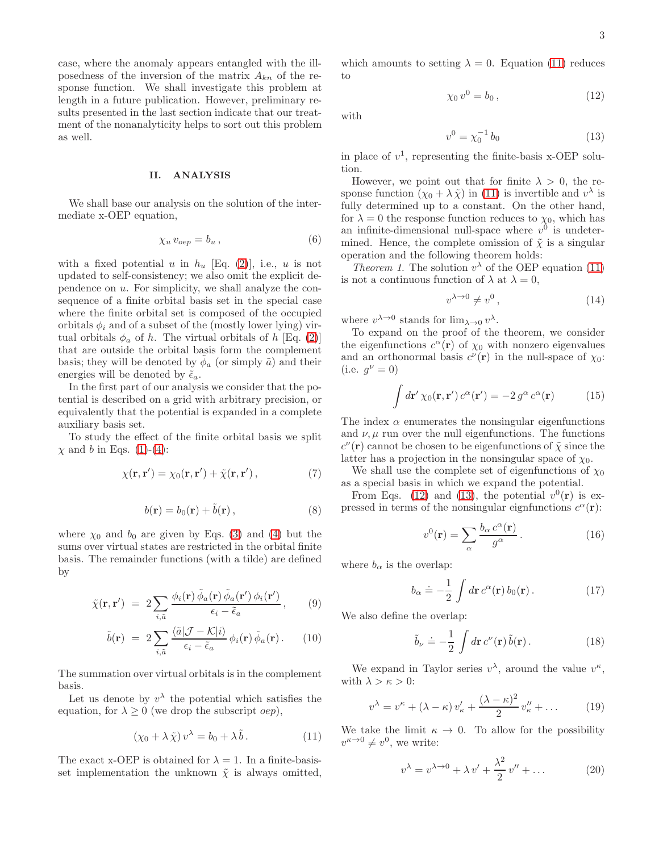case, where the anomaly appears entangled with the illposedness of the inversion of the matrix  $A_{kn}$  of the response function. We shall investigate this problem at length in a future publication. However, preliminary results presented in the last section indicate that our treatment of the nonanalyticity helps to sort out this problem as well.

## II. ANALYSIS

We shall base our analysis on the solution of the intermediate x-OEP equation,

$$
\chi_u \, v_{oep} = b_u \,, \tag{6}
$$

with a fixed potential u in  $h_u$  [Eq. [\(2\)](#page-0-3)], i.e., u is not updated to self-consistency; we also omit the explicit dependence on  $u$ . For simplicity, we shall analyze the consequence of a finite orbital basis set in the special case where the finite orbital set is composed of the occupied orbitals  $\phi_i$  and of a subset of the (mostly lower lying) virtual orbitals  $\phi_a$  of h. The virtual orbitals of h [Eq. [\(2\)](#page-0-3)] that are outside the orbital basis form the complement basis; they will be denoted by  $\tilde{\phi}_a$  (or simply  $\tilde{a}$ ) and their energies will be denoted by  $\tilde{\epsilon}_a$ .

In the first part of our analysis we consider that the potential is described on a grid with arbitrary precision, or equivalently that the potential is expanded in a complete auxiliary basis set.

To study the effect of the finite orbital basis we split  $\chi$  and b in Eqs. [\(1\)](#page-0-0)-[\(4\)](#page-0-2):

$$
\chi(\mathbf{r}, \mathbf{r}') = \chi_0(\mathbf{r}, \mathbf{r}') + \tilde{\chi}(\mathbf{r}, \mathbf{r}'), \qquad (7)
$$

$$
b(\mathbf{r}) = b_0(\mathbf{r}) + \tilde{b}(\mathbf{r}), \qquad (8)
$$

where  $\chi_0$  and  $b_0$  are given by Eqs. [\(3\)](#page-0-1) and [\(4\)](#page-0-2) but the sums over virtual states are restricted in the orbital finite basis. The remainder functions (with a tilde) are defined by

$$
\tilde{\chi}(\mathbf{r}, \mathbf{r}') = 2 \sum_{i, \tilde{a}} \frac{\phi_i(\mathbf{r}) \tilde{\phi}_a(\mathbf{r}) \tilde{\phi}_a(\mathbf{r}') \phi_i(\mathbf{r}')}{\epsilon_i - \tilde{\epsilon}_a}, \qquad (9)
$$

$$
\tilde{b}(\mathbf{r}) = 2 \sum_{i,\tilde{a}} \frac{\langle \tilde{a} | \mathcal{J} - \mathcal{K} | i \rangle}{\epsilon_i - \tilde{\epsilon}_a} \phi_i(\mathbf{r}) \tilde{\phi}_a(\mathbf{r}). \qquad (10)
$$

The summation over virtual orbitals is in the complement basis.

Let us denote by  $v^{\lambda}$  the potential which satisfies the equation, for  $\lambda \geq 0$  (we drop the subscript *oep*),

<span id="page-2-0"></span>
$$
(\chi_0 + \lambda \tilde{\chi}) v^{\lambda} = b_0 + \lambda \tilde{b}.
$$
 (11)

The exact x-OEP is obtained for  $\lambda = 1$ . In a finite-basisset implementation the unknown  $\tilde{\chi}$  is always omitted,

which amounts to setting  $\lambda = 0$ . Equation [\(11\)](#page-2-0) reduces to

<span id="page-2-1"></span>
$$
\chi_0 \, v^0 = b_0 \,, \tag{12}
$$

with

<span id="page-2-2"></span>
$$
v^0 = \chi_0^{-1} b_0 \tag{13}
$$

in place of  $v^1$ , representing the finite-basis x-OEP solution.

However, we point out that for finite  $\lambda > 0$ , the response function  $(\chi_0 + \lambda \tilde{\chi})$  in [\(11\)](#page-2-0) is invertible and  $v^{\lambda}$  is fully determined up to a constant. On the other hand, for  $\lambda = 0$  the response function reduces to  $\chi_0$ , which has an infinite-dimensional null-space where  $v^0$  is undetermined. Hence, the complete omission of  $\tilde{\chi}$  is a singular operation and the following theorem holds:

*Theorem 1.* The solution  $v^{\lambda}$  of the OEP equation [\(11\)](#page-2-0) is not a continuous function of  $\lambda$  at  $\lambda = 0$ ,

$$
v^{\lambda \to 0} \neq v^0 \,, \tag{14}
$$

where  $v^{\lambda \to 0}$  stands for  $\lim_{\lambda \to 0} v^{\lambda}$ .

To expand on the proof of the theorem, we consider the eigenfunctions  $c^{\alpha}(\mathbf{r})$  of  $\chi_0$  with nonzero eigenvalues and an orthonormal basis  $c^{\nu}(\mathbf{r})$  in the null-space of  $\chi_0$ : (i.e.  $g^{\nu} = 0$ )

<span id="page-2-4"></span>
$$
\int d\mathbf{r}' \,\chi_0(\mathbf{r}, \mathbf{r}') c^{\alpha}(\mathbf{r}') = -2 \, g^{\alpha} \, c^{\alpha}(\mathbf{r}) \tag{15}
$$

The index  $\alpha$  enumerates the nonsingular eigenfunctions and  $\nu$ ,  $\mu$  run over the null eigenfunctions. The functions  $c^{\nu}(\mathbf{r})$  cannot be chosen to be eigenfunctions of  $\tilde{\chi}$  since the latter has a projection in the nonsingular space of  $\chi_0$ .

We shall use the complete set of eigenfunctions of  $\chi_0$ as a special basis in which we expand the potential.

From Eqs. [\(12\)](#page-2-1) and [\(13\)](#page-2-2), the potential  $v^0(\mathbf{r})$  is expressed in terms of the nonsingular eignfunctions  $c^{\alpha}(\mathbf{r})$ :

<span id="page-2-5"></span>
$$
v^{0}(\mathbf{r}) = \sum_{\alpha} \frac{b_{\alpha} c^{\alpha}(\mathbf{r})}{g^{\alpha}}.
$$
 (16)

where  $b_{\alpha}$  is the overlap:

$$
b_{\alpha} \doteq -\frac{1}{2} \int d\mathbf{r} \, c^{\alpha}(\mathbf{r}) \, b_0(\mathbf{r}) \,. \tag{17}
$$

We also define the overlap:

$$
\tilde{b}_{\nu} \doteq -\frac{1}{2} \int d\mathbf{r} \, c^{\nu}(\mathbf{r}) \, \tilde{b}(\mathbf{r}) \,. \tag{18}
$$

We expand in Taylor series  $v^{\lambda}$ , around the value  $v^{\kappa}$ , with  $\lambda > \kappa > 0$ :

$$
v^{\lambda} = v^{\kappa} + (\lambda - \kappa) v_{\kappa}' + \frac{(\lambda - \kappa)^2}{2} v_{\kappa}'' + \dots \tag{19}
$$

We take the limit  $\kappa \to 0$ . To allow for the possibility  $v^{\kappa \to 0} \neq v^0$ , we write:

<span id="page-2-3"></span>
$$
v^{\lambda} = v^{\lambda \to 0} + \lambda v' + \frac{\lambda^2}{2} v'' + \dots \tag{20}
$$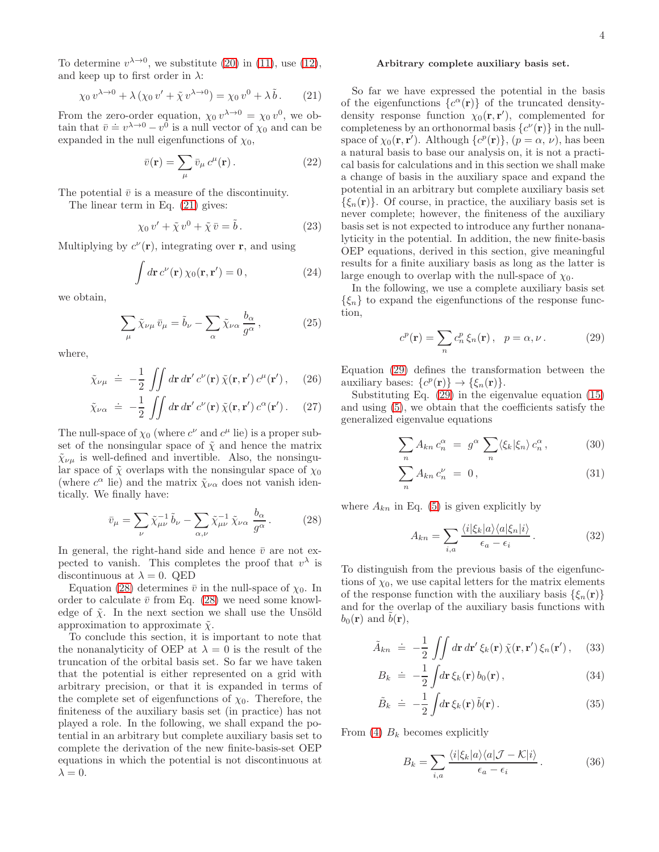To determine  $v^{\lambda \to 0}$ , we substitute [\(20\)](#page-2-3) in [\(11\)](#page-2-0), use [\(12\)](#page-2-1), and keep up to first order in  $\lambda$ :

<span id="page-3-0"></span>
$$
\chi_0 v^{\lambda \to 0} + \lambda \left( \chi_0 v' + \tilde{\chi} v^{\lambda \to 0} \right) = \chi_0 v^0 + \lambda \tilde{b}.
$$
 (21)

From the zero-order equation,  $\chi_0 v^{\lambda \to 0} = \chi_0 v^0$ , we obtain that  $\bar{v} \doteq v^{\lambda \to 0} - v^0$  is a null vector of  $\chi_0$  and can be expanded in the null eigenfunctions of  $\chi_0$ ,

$$
\bar{v}(\mathbf{r}) = \sum_{\mu} \bar{v}_{\mu} c^{\mu}(\mathbf{r}). \qquad (22)
$$

The potential  $\bar{v}$  is a measure of the discontinuity.

The linear term in Eq. [\(21\)](#page-3-0) gives:

$$
\chi_0 v' + \tilde{\chi} v^0 + \tilde{\chi} \bar{v} = \tilde{b}.
$$
 (23)

Multiplying by  $c^{\nu}(\mathbf{r})$ , integrating over **r**, and using

$$
\int d\mathbf{r} \, c^{\nu}(\mathbf{r}) \, \chi_0(\mathbf{r}, \mathbf{r}') = 0 \,, \tag{24}
$$

we obtain,

$$
\sum_{\mu} \tilde{\chi}_{\nu\mu} \,\bar{v}_{\mu} = \tilde{b}_{\nu} - \sum_{\alpha} \tilde{\chi}_{\nu\alpha} \frac{b_{\alpha}}{g^{\alpha}},\tag{25}
$$

where,

$$
\tilde{\chi}_{\nu\mu} \doteq -\frac{1}{2} \iint d\mathbf{r} \, d\mathbf{r}' \, c^{\nu}(\mathbf{r}) \, \tilde{\chi}(\mathbf{r}, \mathbf{r}') \, c^{\mu}(\mathbf{r}'), \quad (26)
$$

$$
\tilde{\chi}_{\nu\alpha} \doteq -\frac{1}{2} \iint d\mathbf{r} \, d\mathbf{r}' \, c^{\nu}(\mathbf{r}) \, \tilde{\chi}(\mathbf{r}, \mathbf{r}') \, c^{\alpha}(\mathbf{r}'). \tag{27}
$$

The null-space of  $\chi_0$  (where  $c^{\nu}$  and  $c^{\mu}$  lie) is a proper subset of the nonsingular space of  $\tilde{\chi}$  and hence the matrix  $\tilde{\chi}_{\nu\mu}$  is well-defined and invertible. Also, the nonsingular space of  $\tilde{\chi}$  overlaps with the nonsingular space of  $\chi_0$ (where  $c^{\alpha}$  lie) and the matrix  $\tilde{\chi}_{\nu\alpha}$  does not vanish identically. We finally have:

<span id="page-3-1"></span>
$$
\bar{v}_{\mu} = \sum_{\nu} \tilde{\chi}_{\mu\nu}^{-1} \tilde{b}_{\nu} - \sum_{\alpha,\nu} \tilde{\chi}_{\mu\nu}^{-1} \tilde{\chi}_{\nu\alpha} \frac{b_{\alpha}}{g^{\alpha}}.
$$
 (28)

In general, the right-hand side and hence  $\bar{v}$  are not expected to vanish. This completes the proof that  $v^{\lambda}$  is discontinuous at  $\lambda = 0$ . QED

Equation [\(28\)](#page-3-1) determines  $\bar{v}$  in the null-space of  $\chi_0$ . In order to calculate  $\bar{v}$  from Eq. [\(28\)](#page-3-1) we need some knowledge of  $\tilde{\chi}$ . In the next section we shall use the Unsöld approximation to approximate  $\tilde{\chi}$ .

To conclude this section, it is important to note that the nonanalyticity of OEP at  $\lambda = 0$  is the result of the truncation of the orbital basis set. So far we have taken that the potential is either represented on a grid with arbitrary precision, or that it is expanded in terms of the complete set of eigenfunctions of  $\chi_0$ . Therefore, the finiteness of the auxiliary basis set (in practice) has not played a role. In the following, we shall expand the potential in an arbitrary but complete auxiliary basis set to complete the derivation of the new finite-basis-set OEP equations in which the potential is not discontinuous at  $\lambda = 0$ .

#### Arbitrary complete auxiliary basis set.

So far we have expressed the potential in the basis of the eigenfunctions  $\{c^{\alpha}(\mathbf{r})\}$  of the truncated densitydensity response function  $\chi_0(\mathbf{r}, \mathbf{r}')$ , complemented for completeness by an orthonormal basis  $\{c^{\nu}(\mathbf{r})\}$  in the nullspace of  $\chi_0(\mathbf{r}, \mathbf{r}')$ . Although  $\{c^p(\mathbf{r})\}, (\rho = \alpha, \nu)$ , has been a natural basis to base our analysis on, it is not a practical basis for calculations and in this section we shall make a change of basis in the auxiliary space and expand the potential in an arbitrary but complete auxiliary basis set  $\{\xi_n(\mathbf{r})\}\$ . Of course, in practice, the auxiliary basis set is never complete; however, the finiteness of the auxiliary basis set is not expected to introduce any further nonanalyticity in the potential. In addition, the new finite-basis OEP equations, derived in this section, give meaningful results for a finite auxiliary basis as long as the latter is large enough to overlap with the null-space of  $\chi_0$ .

In the following, we use a complete auxiliary basis set  $\{\xi_n\}$  to expand the eigenfunctions of the response function,

<span id="page-3-2"></span>
$$
c^{p}(\mathbf{r}) = \sum_{n} c_{n}^{p} \xi_{n}(\mathbf{r}), \quad p = \alpha, \nu. \tag{29}
$$

Equation [\(29\)](#page-3-2) defines the transformation between the auxiliary bases:  $\{c^p(\mathbf{r})\}\to \{\xi_n(\mathbf{r})\}.$ 

Substituting Eq. [\(29\)](#page-3-2) in the eigenvalue equation [\(15\)](#page-2-4) and using [\(5\)](#page-1-2), we obtain that the coefficients satisfy the generalized eigenvalue equations

$$
\sum_{n} A_{kn} c_n^{\alpha} = g^{\alpha} \sum_{n} \langle \xi_k | \xi_n \rangle c_n^{\alpha}, \qquad (30)
$$

$$
\sum_{n} A_{kn} c_n^{\nu} = 0, \qquad (31)
$$

where  $A_{kn}$  in Eq. [\(5\)](#page-1-2) is given explicitly by

$$
A_{kn} = \sum_{i,a} \frac{\langle i | \xi_k | a \rangle \langle a | \xi_n | i \rangle}{\epsilon_a - \epsilon_i}.
$$
 (32)

To distinguish from the previous basis of the eigenfunctions of  $\chi_0$ , we use capital letters for the matrix elements of the response function with the auxiliary basis  $\{\xi_n(\mathbf{r})\}$ and for the overlap of the auxiliary basis functions with  $b_0(\mathbf{r})$  and  $b(\mathbf{r})$ ,

$$
\tilde{A}_{kn} \doteq -\frac{1}{2} \iint d\mathbf{r} \, d\mathbf{r}' \, \xi_k(\mathbf{r}) \, \tilde{\chi}(\mathbf{r}, \mathbf{r}') \, \xi_n(\mathbf{r}'), \quad (33)
$$

$$
B_k \doteq -\frac{1}{2} \int d\mathbf{r} \,\xi_k(\mathbf{r}) \, b_0(\mathbf{r}) \,, \tag{34}
$$

$$
\tilde{B}_k \doteq -\frac{1}{2} \int d\mathbf{r} \,\xi_k(\mathbf{r}) \,\tilde{b}(\mathbf{r}) \,. \tag{35}
$$

From [\(4\)](#page-0-2)  $B_k$  becomes explicitly

$$
B_k = \sum_{i,a} \frac{\langle i | \xi_k | a \rangle \langle a | \mathcal{J} - \mathcal{K} | i \rangle}{\epsilon_a - \epsilon_i}.
$$
 (36)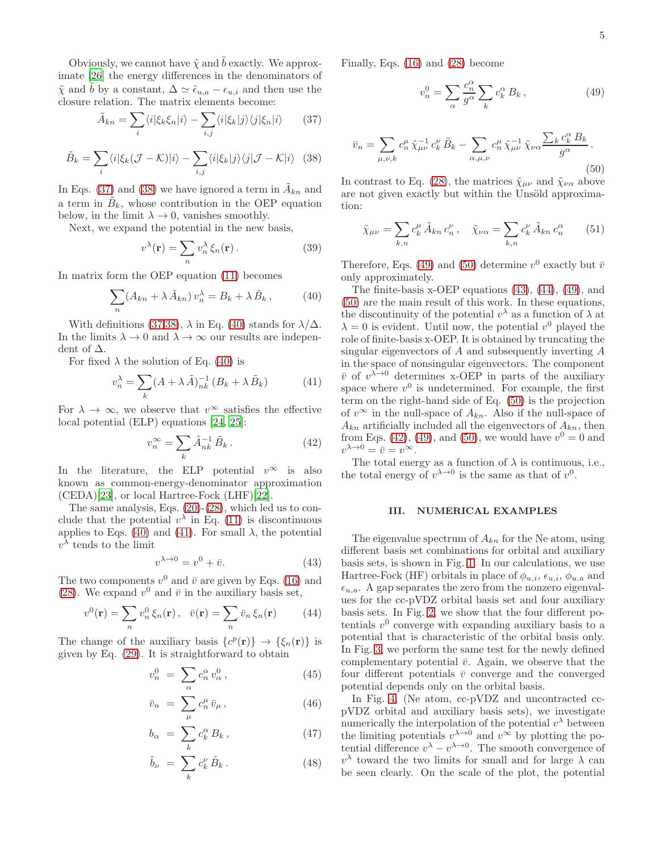Obviously, we cannot have  $\tilde{\chi}$  and  $\tilde{b}$  exactly. We approximate [\[26\]](#page-7-12) the energy differences in the denominators of  $\tilde{\chi}$  and  $\tilde{b}$  by a constant,  $\Delta \simeq \tilde{\epsilon}_{u,a} - \epsilon_{u,i}$  and then use the closure relation. The matrix elements become:

<span id="page-4-0"></span>
$$
\tilde{A}_{kn} = \sum_{i} \langle i | \xi_k \xi_n | i \rangle - \sum_{i,j} \langle i | \xi_k | j \rangle \langle j | \xi_n | i \rangle \qquad (37)
$$

<span id="page-4-1"></span>
$$
\tilde{B}_k = \sum_i \langle i | \xi_k (\mathcal{J} - \mathcal{K}) | i \rangle - \sum_{i,j} \langle i | \xi_k | j \rangle \langle j | \mathcal{J} - \mathcal{K} | i \rangle \tag{38}
$$

In Eqs. [\(37\)](#page-4-0) and [\(38\)](#page-4-1) we have ignored a term in  $\tilde{A}_{kn}$  and a term in  $\tilde{B}_k$ , whose contribution in the OEP equation below, in the limit  $\lambda \to 0$ , vanishes smoothly.

Next, we expand the potential in the new basis,

$$
v^{\lambda}(\mathbf{r}) = \sum_{n} v_n^{\lambda} \xi_n(\mathbf{r}). \qquad (39)
$$

In matrix form the OEP equation [\(11\)](#page-2-0) becomes

<span id="page-4-2"></span>
$$
\sum_{n} (A_{kn} + \lambda \tilde{A}_{kn}) v_n^{\lambda} = B_k + \lambda \tilde{B}_k , \qquad (40)
$$

With definitions [\(37,](#page-4-0)[38\)](#page-4-1),  $\lambda$  in Eq. [\(40\)](#page-4-2) stands for  $\lambda/\Delta$ . In the limits  $\lambda \to 0$  and  $\lambda \to \infty$  our results are independent of ∆.

For fixed  $\lambda$  the solution of Eq. [\(40\)](#page-4-2) is

<span id="page-4-3"></span>
$$
v_n^{\lambda} = \sum_k (A + \lambda \tilde{A})_{nk}^{-1} (B_k + \lambda \tilde{B}_k)
$$
 (41)

For  $\lambda \to \infty$ , we observe that  $v^{\infty}$  satisfies the effective local potential (ELP) equations [\[24,](#page-7-14) [25\]](#page-7-11):

<span id="page-4-8"></span>
$$
v_n^{\infty} = \sum_k \tilde{A}_{nk}^{-1} \tilde{B}_k . \tag{42}
$$

In the literature, the ELP potential  $v^{\infty}$  is also known as common-energy-denominator approximation (CEDA)[\[23](#page-7-15)], or local Hartree-Fock (LHF)[\[22\]](#page-7-16).

The same analysis, Eqs. [\(20\)](#page-2-3)-[\(28\)](#page-3-1), which led us to conclude that the potential  $v^{\lambda}$  in Eq. [\(11\)](#page-2-0) is discontinuous applies to Eqs. [\(40\)](#page-4-2) and [\(41\)](#page-4-3). For small  $\lambda$ , the potential  $v^{\lambda}$  tends to the limit

<span id="page-4-6"></span>
$$
v^{\lambda \to 0} = v^0 + \bar{v}.\tag{43}
$$

The two components  $v^0$  and  $\bar{v}$  are given by Eqs. [\(16\)](#page-2-5) and [\(28\)](#page-3-1). We expand  $v^0$  and  $\bar{v}$  in the auxiliary basis set,

<span id="page-4-7"></span>
$$
v^{0}(\mathbf{r}) = \sum_{n} v_{n}^{0} \xi_{n}(\mathbf{r}), \quad \bar{v}(\mathbf{r}) = \sum_{n} \bar{v}_{n} \xi_{n}(\mathbf{r}) \quad (44)
$$

The change of the auxiliary basis  $\{c^p(\mathbf{r})\} \to \{\xi_n(\mathbf{r})\}$  is given by Eq. [\(29\)](#page-3-2). It is straightforward to obtain

$$
v_n^0 = \sum_{\alpha} c_n^{\alpha} v_{\alpha}^0, \qquad (45)
$$

$$
\bar{v}_n = \sum_{\mu} c_n^{\mu} \,\bar{v}_{\mu} \,, \tag{46}
$$

$$
b_{\alpha} = \sum_{k} c_{k}^{\alpha} B_{k} , \qquad (47)
$$

$$
\tilde{b}_{\nu} = \sum_{k} c_{k}^{\nu} \tilde{B}_{k} . \qquad (48)
$$

Finally, Eqs. [\(16\)](#page-2-5) and [\(28\)](#page-3-1) become

<span id="page-4-4"></span>
$$
v_n^0 = \sum_{\alpha} \frac{c_n^{\alpha}}{g^{\alpha}} \sum_k c_k^{\alpha} B_k , \qquad (49)
$$

<span id="page-4-5"></span>
$$
\bar{v}_n = \sum_{\mu,\nu,k} c_n^{\mu} \tilde{\chi}_{\mu\nu}^{-1} c_k^{\nu} \tilde{B}_k - \sum_{\alpha,\mu,\nu} c_n^{\mu} \tilde{\chi}_{\mu\nu}^{-1} \tilde{\chi}_{\nu\alpha} \frac{\sum_k c_k^{\alpha} B_k}{g^{\alpha}}.
$$
\n(50)

In contrast to Eq. [\(28\)](#page-3-1), the matrices  $\tilde{\chi}_{\mu\nu}$  and  $\tilde{\chi}_{\nu\alpha}$  above are not given exactly but within the Unsöld approximation:

$$
\tilde{\chi}_{\mu\nu} = \sum_{k,n} c_k^{\mu} \tilde{A}_{kn} c_n^{\nu}, \quad \tilde{\chi}_{\nu\alpha} = \sum_{k,n} c_k^{\nu} \tilde{A}_{kn} c_n^{\alpha} \qquad (51)
$$

Therefore, Eqs. [\(49\)](#page-4-4) and [\(50\)](#page-4-5) determine  $v^0$  exactly but  $\bar{v}$ only approximately.

The finite-basis x-OEP equations [\(43\)](#page-4-6), [\(44\)](#page-4-7), [\(49\)](#page-4-4), and [\(50\)](#page-4-5) are the main result of this work. In these equations, the discontinuity of the potential  $v^{\lambda}$  as a function of  $\lambda$  at  $\lambda = 0$  is evident. Until now, the potential  $v^0$  played the role of finite-basis x-OEP. It is obtained by truncating the singular eigenvectors of A and subsequently inverting A in the space of nonsingular eigenvectors. The component  $\bar{v}$  of  $v^{\lambda \to 0}$  determines x-OEP in parts of the auxiliary space where  $v^0$  is undetermined. For example, the first term on the right-hand side of Eq. [\(50\)](#page-4-5) is the projection of  $v^{\infty}$  in the null-space of  $A_{kn}$ . Also if the null-space of  $A_{kn}$  artificially included all the eigenvectors of  $A_{kn}$ , then from Eqs. [\(42\)](#page-4-8), [\(49\)](#page-4-4), and [\(50\)](#page-4-5), we would have  $v^0 = 0$  and  $v^{\lambda \to 0} = \overline{v} = v^{\infty}$ .

The total energy as a function of  $\lambda$  is continuous, i.e., the total energy of  $v^{\lambda \to 0}$  is the same as that of  $v^0$ .

#### III. NUMERICAL EXAMPLES

The eigenvalue spectrum of  $A_{kn}$  for the Ne atom, using different basis set combinations for orbital and auxiliary basis sets, is shown in Fig. [1.](#page-1-0) In our calculations, we use Hartree-Fock (HF) orbitals in place of  $\phi_{u,i}, \epsilon_{u,i}, \phi_{u,a}$  and  $\epsilon_{u,a}$ . A gap separates the zero from the nonzero eigenvalues for the cc-pVDZ orbital basis set and four auxiliary basis sets. In Fig. [2,](#page-1-1) we show that the four different potentials  $v^0$  converge with expanding auxiliary basis to a potential that is characteristic of the orbital basis only. In Fig. [3,](#page-5-0) we perform the same test for the newly defined complementary potential  $\bar{v}$ . Again, we observe that the four different potentials  $\bar{v}$  converge and the converged potential depends only on the orbital basis.

In Fig. [4,](#page-5-1) (Ne atom, cc-pVDZ and uncontracted ccpVDZ orbital and auxiliary basis sets), we investigate numerically the interpolation of the potential  $v^{\lambda}$  between the limiting potentials  $v^{\lambda \to 0}$  and  $v^{\infty}$  by plotting the potential difference  $v^{\lambda} - v^{\lambda \to 0}$ . The smooth convergence of  $v^{\lambda}$  toward the two limits for small and for large  $\lambda$  can be seen clearly. On the scale of the plot, the potential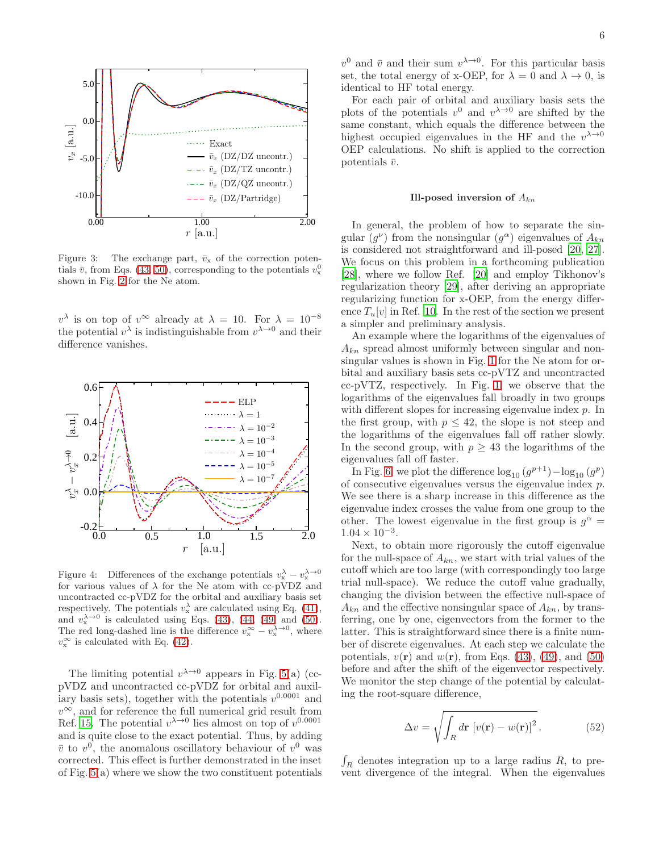

<span id="page-5-0"></span>Figure 3: The exchange part,  $\bar{v}_x$  of the correction potentials  $\bar{v}$ , from Eqs. [\(43,](#page-4-6) [50\)](#page-4-5), corresponding to the potentials  $v_x^0$ shown in Fig. [2](#page-1-1) for the Ne atom.

 $v^{\lambda}$  is on top of  $v^{\infty}$  already at  $\lambda = 10$ . For  $\lambda = 10^{-8}$ the potential  $v^{\lambda}$  is indistinguishable from  $v^{\lambda \to 0}$  and their difference vanishes.



<span id="page-5-1"></span>Figure 4: Differences of the exchange potentials  $v_x^{\lambda} - v_x^{\lambda \to 0}$ for various values of  $\lambda$  for the Ne atom with cc-pVDZ and uncontracted cc-pVDZ for the orbital and auxiliary basis set respectively. The potentials  $v_x^{\lambda}$  are calculated using Eq. [\(41\)](#page-4-3), and  $v_x^{\lambda \to 0}$  is calculated using Eqs. [\(43\)](#page-4-6), [\(44,](#page-4-7) [\(49,](#page-4-4) and [\(50\)](#page-4-5). The red long-dashed line is the difference  $v_x^{\infty} - v_x^{\lambda \to 0}$ , where  $v_{\rm x}^{\infty}$  is calculated with Eq. [\(42\)](#page-4-8).

The limiting potential  $v^{\lambda \to 0}$  appears in Fig. [5\(](#page-6-0)a) (ccpVDZ and uncontracted cc-pVDZ for orbital and auxiliary basis sets), together with the potentials  $v^{0.0001}$  and  $v^{\infty}$ , and for reference the full numerical grid result from Ref. [15.](#page-7-13) The potential  $v^{\lambda \to 0}$  lies almost on top of  $v^{0.0001}$ and is quite close to the exact potential. Thus, by adding  $\bar{v}$  to  $v^0$ , the anomalous oscillatory behaviour of  $v^0$  was corrected. This effect is further demonstrated in the inset of Fig. [5\(](#page-6-0)a) where we show the two constituent potentials

 $v^0$  and  $\bar{v}$  and their sum  $v^{\lambda \to 0}$ . For this particular basis set, the total energy of x-OEP, for  $\lambda = 0$  and  $\lambda \to 0$ , is identical to HF total energy.

For each pair of orbital and auxiliary basis sets the plots of the potentials  $v^0$  and  $v^{\lambda \to 0}$  are shifted by the same constant, which equals the difference between the highest occupied eigenvalues in the HF and the  $v^{\lambda \to 0}$ OEP calculations. No shift is applied to the correction potentials  $\bar{v}$ .

#### Ill-posed inversion of  $A_{kn}$

In general, the problem of how to separate the singular  $(g^{\nu})$  from the nonsingular  $(g^{\alpha})$  eigenvalues of  $A_{kn}$ is considered not straightforward and ill-posed [\[20,](#page-7-9) [27\]](#page-7-17). We focus on this problem in a forthcoming publication [\[28\]](#page-7-18), where we follow Ref. [\[20\]](#page-7-9) and employ Tikhonov's regularization theory [\[29](#page-7-19)], after deriving an appropriate regularizing function for x-OEP, from the energy difference  $T_u[v]$  in Ref. [10.](#page-7-5) In the rest of the section we present a simpler and preliminary analysis.

An example where the logarithms of the eigenvalues of  $A_{kn}$  spread almost uniformly between singular and nonsingular values is shown in Fig. [1](#page-1-0) for the Ne atom for orbital and auxiliary basis sets cc-pVTZ and uncontracted cc-pVTZ, respectively. In Fig. [1,](#page-1-0) we observe that the logarithms of the eigenvalues fall broadly in two groups with different slopes for increasing eigenvalue index  $p$ . In the first group, with  $p \leq 42$ , the slope is not steep and the logarithms of the eigenvalues fall off rather slowly. In the second group, with  $p \geq 43$  the logarithms of the eigenvalues fall off faster.

In Fig. [6,](#page-6-1) we plot the difference  $log_{10}(g^{p+1}) - log_{10}(g^p)$ of consecutive eigenvalues versus the eigenvalue index  $p$ . We see there is a sharp increase in this difference as the eigenvalue index crosses the value from one group to the other. The lowest eigenvalue in the first group is  $g^{\alpha}$  =  $1.04 \times 10^{-3}$ .

Next, to obtain more rigorously the cutoff eigenvalue for the null-space of  $A_{kn}$ , we start with trial values of the cutoff which are too large (with correspondingly too large trial null-space). We reduce the cutoff value gradually, changing the division between the effective null-space of  $A_{kn}$  and the effective nonsingular space of  $A_{kn}$ , by transferring, one by one, eigenvectors from the former to the latter. This is straightforward since there is a finite number of discrete eigenvalues. At each step we calculate the potentials,  $v(\mathbf{r})$  and  $w(\mathbf{r})$ , from Eqs. [\(43\)](#page-4-6), [\(49\)](#page-4-4), and [\(50\)](#page-4-5) before and after the shift of the eigenvector respectively. We monitor the step change of the potential by calculating the root-square difference,

$$
\Delta v = \sqrt{\int_R d\mathbf{r} \left[ v(\mathbf{r}) - w(\mathbf{r}) \right]^2}.
$$
 (52)

 $\int_R$  denotes integration up to a large radius R, to prevent divergence of the integral. When the eigenvalues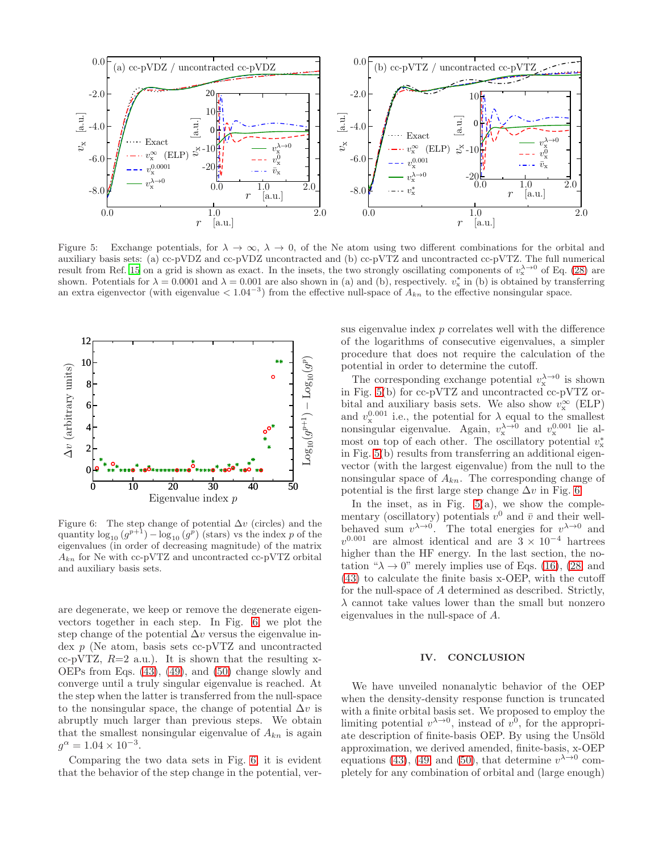

<span id="page-6-0"></span>Figure 5: Exchange potentials, for  $\lambda \to \infty$ ,  $\lambda \to 0$ , of the Ne atom using two different combinations for the orbital and auxiliary basis sets: (a) cc-pVDZ and cc-pVDZ uncontracted and (b) cc-pVTZ and uncontracted cc-pVTZ. The full numerical result from Ref. [15](#page-7-13) on a grid is shown as exact. In the insets, the two strongly oscillating components of  $v_x^{\lambda \to 0}$  of Eq. [\(28\)](#page-3-1) are shown. Potentials for  $\lambda = 0.0001$  and  $\lambda = 0.001$  are also shown in (a) and (b), respectively.  $v_x^*$  in (b) is obtained by transferring an extra eigenvector (with eigenvalue  $\lt 1.04^{-3}$ ) from the effective null-space of  $A_{kn}$  to the effective nonsingular space.



<span id="page-6-1"></span>Figure 6: The step change of potential  $\Delta v$  (circles) and the quantity  $\log_{10} (g^{p+1}) - \log_{10} (g^p)$  (stars) vs the index p of the eigenvalues (in order of decreasing magnitude) of the matrix  $A_{kn}$  for Ne with cc-pVTZ and uncontracted cc-pVTZ orbital and auxiliary basis sets.

are degenerate, we keep or remove the degenerate eigenvectors together in each step. In Fig. [6,](#page-6-1) we plot the step change of the potential  $\Delta v$  versus the eigenvalue index p (Ne atom, basis sets cc-pVTZ and uncontracted cc-pVTZ,  $R=2$  a.u.). It is shown that the resulting x-OEPs from Eqs. [\(43\)](#page-4-6), [\(49\)](#page-4-4), and [\(50\)](#page-4-5) change slowly and converge until a truly singular eigenvalue is reached. At the step when the latter is transferred from the null-space to the nonsingular space, the change of potential  $\Delta v$  is abruptly much larger than previous steps. We obtain that the smallest nonsingular eigenvalue of  $A_{kn}$  is again  $g^{\alpha} = 1.04 \times 10^{-3}$ .

Comparing the two data sets in Fig. [6,](#page-6-1) it is evident that the behavior of the step change in the potential, versus eigenvalue index p correlates well with the difference of the logarithms of consecutive eigenvalues, a simpler procedure that does not require the calculation of the potential in order to determine the cutoff.

The corresponding exchange potential  $v_x^{\lambda \to 0}$  is shown in Fig. [5\(](#page-6-0)b) for cc-pVTZ and uncontracted cc-pVTZ orbital and auxiliary basis sets. We also show  $v_x^{\infty}$  (ELP) and  $v_x^{0.001}$  i.e., the potential for  $\lambda$  equal to the smallest nonsingular eigenvalue. Again,  $v_x^{\lambda \to 0}$  and  $v_x^{0.001}$  lie almost on top of each other. The oscillatory potential  $v_x^*$ in Fig. [5\(](#page-6-0)b) results from transferring an additional eigenvector (with the largest eigenvalue) from the null to the nonsingular space of  $A_{kn}$ . The corresponding change of potential is the first large step change  $\Delta v$  in Fig. [6.](#page-6-1)

In the inset, as in Fig.  $5(a)$ , we show the complementary (oscillatory) potentials  $v^0$  and  $\bar{v}$  and their wellbehaved sum  $v^{\lambda \to 0}$ . The total energies for  $v^{\lambda \to 0}$  and  $v^{0.001}$  are almost identical and are  $3 \times 10^{-4}$  hartrees higher than the HF energy. In the last section, the notation " $\lambda \rightarrow 0$ " merely implies use of Eqs. [\(16\)](#page-2-5), [\(28,](#page-3-1) and [\(43\)](#page-4-6) to calculate the finite basis x-OEP, with the cutoff for the null-space of A determined as described. Strictly,  $\lambda$  cannot take values lower than the small but nonzero eigenvalues in the null-space of A.

### IV. CONCLUSION

We have unveiled nonanalytic behavior of the OEP when the density-density response function is truncated with a finite orbital basis set. We proposed to employ the limiting potential  $v^{\lambda \to 0}$ , instead of  $v^0$ , for the appropriate description of finite-basis OEP. By using the Unsöld approximation, we derived amended, finite-basis, x-OEP equations [\(43\)](#page-4-6), [\(49,](#page-4-4) and [\(50\)](#page-4-5), that determine  $v^{\lambda \to 0}$  completely for any combination of orbital and (large enough)